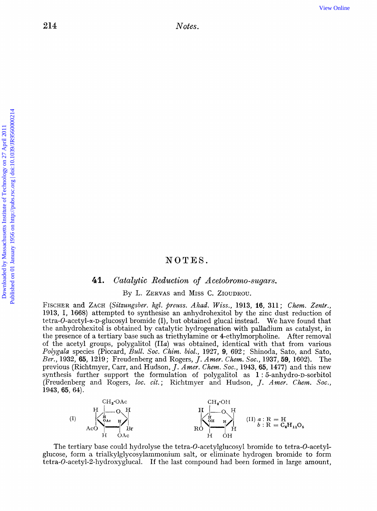# NOTES.

### 41. Catalytic Reduction of Acetobromo-sugars.

By L. **ZERVAS** and MISS C. ZIOUDROU.

FISCHER and **ZACH** *(Sitaungsbeu. kgl. preuss. Akad. Wiss.,* **1913, 16, 311;** *Chem. Zentr.,*  **1913,** *I,* **1668)** attempted to synthesise an anhydrohexitol by the zinc dust reduction of tetra-0-acetyl-a-D-glucosyl bromide (I), but obtained glucal instead. We have found that the anhydrohexitol is obtained by catalytic hydrogenation with palladium as catalyst, in the presence of a tertiary base such as triethylamine or 4-ethylmorpholine. After removal of the acetyl groups, polygalitol *(IIa)* was obtained, identical with that from various *Polygala* species (Piccard, *Bull. SOC. Chim. biol.,* **1927, 9, 692;** Shinoda, Sato, and Sato, *Ber.,* **1932, 65, 1219;** Freudenberg and Rogers, *J. Amer. Chem. SOC.,* **1937,59, 1602).** The previous (Richtmyer, Carr, and Hudson, *J. Amer. Chem. Soc.*, 1943, 65, 1477) and this new synthesis further support the formulation of polygalitol as **1** : 6-anhydro-D-sorbitol (Freudenberg and Rogers, loc. cit.; Richtmyer and Hudson, *J. Amer. Chem. Soc.*, **1943,** *65,* **64).** 



The tertiary base could hydrolyse the tetra-0-acetylglucosyl bromide to tetra-0-acetylglucose, form a trialkylglycosylammonium salt, or eliminate hydrogen bromide to form **tetra-0-acetyl-2-hydroxyglucal.** *If* the last compound had been formed in large amount,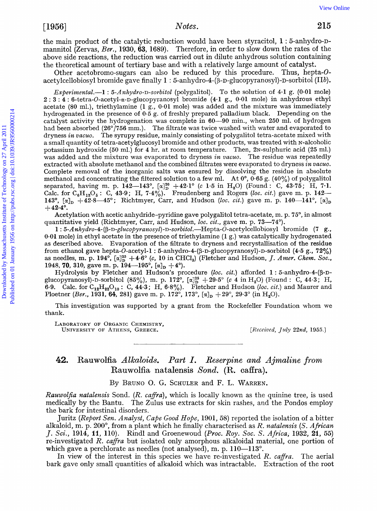the main product of the catalytic reduction would have been styracitol, 1:5-anhydro-Dmannitol (Zervas, *Ber.,* **1930, 63, 1689).** Therefore, in order to slow down the rates of the above side reactions, the reduction was carried out in dilute anhydrous solution containing the theoretical amount of tertiary base and with a relatively large amount of catalyst.

Other acetobromo-sugars can also be reduced by this procedure. Thus, hepta-Oacetylcellobiosyl bromide gave finally 1 : 5-anhydro-4-(β-D-glucopyranosyl)-D-sorbitol (IIb).

Experimental.-1: 5-Anhydro-D-sorbitol (polygalitol). To the solution of 4.1 g. (0.01 mole) **2** : **3** : **4** : **6-tetra-~-acetyl-a-~-glucopyranosyl** bromide **(4.1** g., **0.01** mole) in anhydrous ethyl acetate **(80** ml.), triethylamine **(1** g., **0-01** mole) was added and the mixture was immediately hydrogenated in the presence of **0.5** g. of freshly prepared palladium black. Depending on the catalyst activity the hydrogenation was complete in **60-90** min., when **250** ml. of hydrogen had been absorbed **(26"/756** mm.). The filtrate was twice washed with water and evaporated to dryness **in** *vucuo.* The syrupy residue, mainly consisting of polygalitol tetra-acetate mixed with a small quantity of tetra-acetylglucosyl bromide and other products, was treated with N-alcoholic potassium hydroxide (50 ml.) for 4 hr. at room temperature. Then, 2<sub>N</sub>-sulphuric acid (25 ml.) was added and the mixture was evaporated to dryness **in** *vacuo.* The residue was repeatedly extracted with absolute methanol and the combined filtrates were evaporated to dryness **in** *vacuo.*  Complete removal of the inorganic salts was ensured by dissolving the residue in absolute methanol and concentrating the filtered solution to a few ml. At  $0^{\circ}$ ,  $0.65$  g.  $(40\%)$  of polygalitol separated, having m. p.  $142-143^{\circ}$ ,  $[\alpha]_D^{20} + 42.1^{\circ}$  (c 1.5 in H<sub>2</sub>O) (Found: C,  $43.75$ ; H, 7.1. Calc. for  $C_6H_{12}O_6$ : C, 43.9; H, 7.4%). Freudenberg and Rogers (loc. cit.) gave m. p. 14. **143°**,  $[\alpha]_D$  +42.8-45°; Richtmyer, Carr, and Hudson (loc. *cit.*) gave m. p. 140-141°,  $[\alpha]_D$  $+42.4^{\circ}$ . **Postinuo** 1966) Moreo . We consider the catalogic consideration would have been styractivel in factorial for the catalogical formula of the state of the catalogical formula determined the restriction in order to doit and

Acetylation with acetic anhydride-pyridine gave polygalitol tetra-acetate, m. p. 75°, in almost quantitative yield (Richtmyer, Carr, and Hudson, loc. cit., gave m. p. 73-74°).

1:  $5-Anhydro-4-(\beta-D-glucopyranosyl)-D-sovbitol.$  Hepta-O-acetylcellobiosyl bromide (7 g., **0.01** mole) in ethyl acetate in the presence of triethylamine **(1** g.) was catalytically hydrogenated as described above. Evaporation of the filtrate to dryness and recrystallisation of the residue from ethanol gave hepta-O-acetyl-1 : 5-anhydro-4-( $\beta$ -D-glucopyranosyl)-D-sorbitol (4.5 g., 72%) as needles, m. p.  $194^\circ$ ,  $\alpha$ ] $^{185}_{10}$  +4.6° (c, 10 in CHCl<sub>3</sub>) (Fletcher and Hudson, *J. Amer. Chem. Soc.*, **1948, 70, 310,** gave m. p. **194-195',** *[a],* **+4O).** 

Hydrolysis by Fletcher and Hudson's procedure (loc. cit.) afforded 1 : 5-anhydro-4-(B-D**glucopyranosyl**)-D-sorbitol (85%), m. p. **172°**,  $[\alpha]_{0}^{25} + 29.5^{\circ}$  (c **4** in H<sub>2</sub>O) (Found : C, **44.3**; H, **6.9.** Calc. for  $C_{12}H_{22}O_{10}$ : C,  $44.3$ ; H,  $6.8\%$ ). Fletcher and Hudson (loc. *cit.*) and Maurer and Ploetner *(Ber.,* 1931, 64, 281) gave m. p. 172°, 173°,  $[\alpha]_p + 29^\circ$ , 29.3° *(in* H<sub>2</sub>O).

This investigation was supported by a grant from the Rockefeller Foundation whom we thank.

LABORATORY OF ORGANIC **CHEMISTRY,**  UNIVERSITY OF ATHENS, GREECE. *[Received, July 22nd, 1955.]* 

### *42.* **Rauwolfia** *Alkaloids.* **Part I.** *Reserpine and Ajmaline from*  **Rauwolfia natalensis** *Xond.* **(R. caffra).**

By BRUNO **0.** G. SCHULER and F. L. WARREN,

*Rauwolfia natalensis* Sond. *(R. caffra)*, which is locally known as the quinine tree, is used medically by the Bantu. The Zulus use extracts for skin rashes, and the Pondos employ the bark for intestinal disorders.

Juritz *(Report Sen. Analyst, Cape Good Hope,* **1901, 58)** reported the isolation of a bitter alkaloid, m. **p. 200',** from a plant which he finally characterised as *R. natalensis (S. African J. Sci.,* **1914, 11, 110).** Rind1 and Groenewoud *(Pruc. Roy. Soc. S. Africa,* **1932, 21,** 55) re-investigated *R. cafya* but isolated only amorphous alkaloidal material, one portion of which gave a perchlorate as needles (not analysed), m. p.  $110-113^{\circ}$ .

In view of the interest in this species we have re-investigated *R. caffra*. The aerial bark gave only small quantities of alkaloid which was intractable. Extraction of the root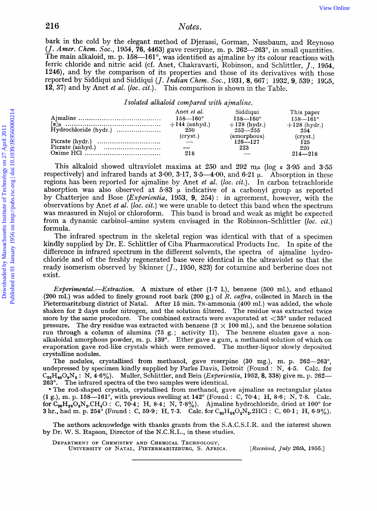bark in the cold by the elegant method of Djerassi, Gorman, Nussbaum, and Reynoso *(J. Amer. Chem. SOC.,* **1954, 76, 4463)** gave reserpine, m. p. **262-263",** in small quantities. The main alkaloid, m. p. 158—161°, was identified as ajmaline by its colour reactions with ferric chloride and nitric acid (cf. Anet, Chakravarti, Robinson, and Schlittler, *J.,* **1954, 1246),** and by the comparison of its properties and those of its derivatives with those reported by Siddiqui and Siddiqui *(J. Indian Chem. SOC.,* **1931,8, 667** ; **1932, 9, 539; 1925, 12, 37)** and by Anet *et al.* (loc. cit.). This comparison is shown in the Table.

#### *Isolated alkaloid compared with ajmaliize.*

|                       | Anet et al.         | Siddiqui            | This paper          |
|-----------------------|---------------------|---------------------|---------------------|
|                       | $158 - 160^{\circ}$ | $158 - 160^{\circ}$ | $158 - 161^{\circ}$ |
|                       | $+144$ (anhyd.)     | $+128$ (hydr.)      | $+128$ (hydr.)      |
| Hydrochloride (hydr.) | 250                 | $253 - 255$         | $254^{-}$           |
|                       | $(c$ ryst. $)$      | (amorphous)         | $(c$ ryst. $)$      |
|                       |                     | $126 - 127$         | 125                 |
|                       |                     | 223                 | 220                 |
|                       | 218                 |                     | $214 - 218$         |
|                       |                     |                     |                     |

This alkaloid showed ultraviolet maxima at 250 and  $292 \text{ m}\mu$  (log  $\epsilon$  3.95 and 3.55 respectively) and infrared bands at  $3.00$ ,  $3.17$ ,  $3.5-4.00$ , and  $6.21 \mu$ . Absorption in these regions has been reported for ajmaline by Anet *et al. (loc. cit.).* In carbon tetrachloride absorption was also observed at  $5.83$   $\mu$  indicative of a carbonyl group as reported by Chatterjee and Bose *(Experientia,* **1953, 9, 264)** : in agreement, however, with the observations by Anet *et al.* (loc. cit.) we were unable to detect this band when the spectrum was measured in Nujol or chloroform. This band is broad and weak **as** might be expected from a dynamic carbinol-amine system envisaged in the Robinson-Schlittler *(loc. cit.)*  formula. 216 Works. We online that could by the degrad method of Djeressi, forman, Nussbaum, and Reynness of The main shadoid, m. p. 198–1619 ges victos<br>true objections in the 281 April 2013 (A method on different coloring and Sol

The infrared spectrum in the skeletal region was identical with that of a specimen kindly supplied by Dr. E. Schlittler of Ciba Pharmaceutical Products Inc. In spite of the difference in infrared spectrum in the different solvents, the spectra of ajmaline hydrochloride and of the freshly regenerated base were identical in the ultraviolet so that the ready isomerism observed by Skinner *(J.,* **1950, 823)** for cotarnine and berberine does not exist.

*Experimenta2.-Extraction.* **A** mixture of ether (1.7 l.), benzene **(500** ml.), and ethanol (200 ml.) was added to finely ground root bark **(200** g.) of *I?. ca-fra,* collected in March in the Pietermaritzburg district of Natal. After 15 min. 7N-ammonia (400 ml.) was added, the whole shaken for 2 days under nitrogen, and the solution filtered. The residue was extracted twice more by the same procedure. The combined extracts were evaporated at **<35"** under reduced pressure. The dry residue was extracted with benzene  $(2 \times 100 \text{ ml.})$ , and the benzene solution run through a column **of** alumina (75 g. ; activity **11).** The benzene eluates gave *a* nonalkaloidal amorphous powder, m. p.  $139^\circ$ . Ether gave a gum, a methanol solution of which on evaporation gave rod-like crystals which were removed. The mother-liquor slowly deposited crystalline nodules.

The nodules, crystallised from methanol, gave reserpine (30 mg.), m. p. 262-263", undepressed by specimen kindly supplied by Parke Davis, Detroit (Found : N, 4-5. Calc. for  $C_{33}H_{40}O_9N_2$ : N,  $4.6\%$ ). Muller, Schlittler, and Bein *(Experientia*, 1952, **8**, 338) give m. p. 262-**263".**  The infrared spectra of the two samples were identical.

The rod-shaped crystals, crystallised from methanol, gave ajmaline as rectangular plates (1 *g.),* m. p. 158-161", with previous swelling at 142" (Found : *C,* **70.4** ; H, **8.6** ; N, 7.8. Calc. **for**  $C_{20}H_{26}O_2N_2$ **, CH<sub>4</sub>O**: C, 70.4; **H**, 8.4; N, 7.8%). Ajmaline hydrochloride, dried at 100° for **3** hr., had m. p. 254<sup>°</sup> (Found : C, 59.9; H, 7.3. Calc. for C<sub>20</sub>H<sub>28</sub>O<sub>2</sub>N<sub>2</sub>,2HCl : C, 60.1; H, 6.9%).

The authors acknowledge with thanks grants from the S.A.C.S.I.R. and the interest shown by Dr. W. S. Rapson, Director of the **N.C.R.L.,** in these studies.

DEPARTMENT **OF** CHEMISTRY AND CHEMICAL TECHNOLOGY,

UNIVERSITY **OF** NATAL, PIETERMARITZBURG, **S. AFRICA.** *[Received, July* **26th, 1955.1**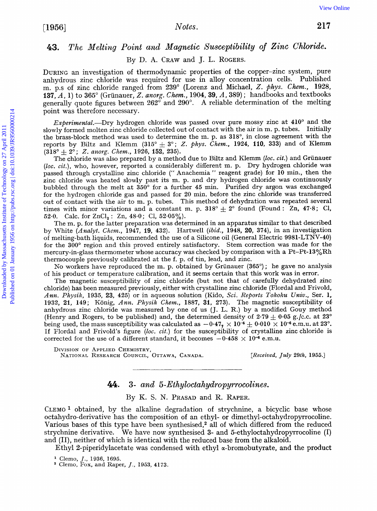# *43. The Melting Point and Magnetic Susceptibility of Zinc Chloride.*

By D. **A. CRAW** and **J. L. ROGERS.** 

**DURING** an investigation of thermodynamic properties of the copper-zinc system, pure anhydrous zinc chloride was required for use in alloy concentration cells. Published m. p.s of zinc chloride ranged from **239"** (Lorenz and Michael, *2. \$hys. Chem.,* **1928, 137,** *A,* **1)** to **365"** (Griinauer, *2. anorg. Chem.,* **1904,39,** *A,* **389)** ; handbooks and textbooks generally quote figures between **262"** and **290". A** reliable determination of the melting point was therefore necessary.

Experimental.---Dry hydrogen chloride was passed over pure mossy zinc at  $410^{\circ}$  and the slowly formed molten zinc chloride collected out of contact with the air in m. p. tubes. Initially the brass-block method was used to determine the m. p. as **318",** in close agreement with the reports by Biltz and Klemm  $(315^{\circ} \pm 3^{\circ})$ ; *Z. phys. Chem.*, 1924, 110, 333) and of Klemm  $(318^{\circ} \pm 2^{\circ})$ ; *Z. anorg. Chem.*, 1926, 152, 235).

The chloride was also prepared by a method due to Biltz and Klemm *(loc. cit.)* and Grünauer (loc. cit.), who, however, reported a considerably different m. p. Dry hydrogen chloride was passed through crystalline zinc chloride (" Anachemia " reagent grade) for **10** min., then the zinc chloride was heated slowly past its m. **p.** and dry hydrogen chloride was continuously bubbled through the melt at **350"** for a further **45** min. Purified dry argon was exchanged for the hydrogen chloride gas and passed for **20** min. before the zinc chloride was transferred out of contact with the air to m. p. tubes. This method **of** dehydration was repeated several times with minor variations and a constant m. p.  $318^{\circ} + 2^{\circ}$  found (Found: Zn, 47.8; Cl, 52.0. Calc. for ZnCl<sub>2</sub>: Zn, 48.0; Cl, 52.05%). [View Online](http://dx.doi.org/10.1039/jr9560000214) Fig. 2016<br>
217 ASS. The Melking Point and Magnetic Susceptibility of Zinc Chloride.<br>
DURING an investigation of thermodynamic properties of the corper-zinc system, pure amby<br>through an chloride range if from a

The m. p. for the latter preparation was determined in an apparatus similar to that described by White (Analyt. *Chem.,* **1947, 19, 432).** Hartwell *(ibid.,* **1948, 20, 374),** in an investigation of melting-bath liquids, recommended the use of a Silicone oil (General Electric **9981-LTNV-40)**  for the 300° region and this proved entirely satisfactory. Stem correction was made for the mercury-in-glass thermometer whose accuracy was checked by comparison with a Pt-Pt-13%Rh thermocouple previously calibrated at the f. p. of tin, lead, and zinc.

No workers have reproduced the m. p. obtained by Grunauer **(365")** ; he gave no analysis of his product or temperature calibration, and it seems certain that this work was in error.

The magnetic susceptibility of zinc chloride (but not that of carefully dehydrated zinc chloride) has been measured previously, either with crystalline zinc chloride (Flordal and Frivold, Ann. Physik, 1935, 23, 425) or in aqueous solution (Kido, Sci. Reports Tokoku Univ., Ser. 1, **1932, 21, 149;** Konig, Ann. *Physik Chem.,* **1887, 31, 273).** The magnetic susceptibility **of**  anhydrous zinc chloride was measured by one of us (J. L. R.) by a modified Gouy method (Henry and Rogers, to be published) and, the determined density of  $2.79 \pm 0.05$  g./c.c. at  $23^{\circ}$ being used, the mass susceptibility was calculated as  $-0.47$ ,  $\times 10^{-6} \pm 0.010 \times 10^{-6}$  e.m.u. at 23<sup>o</sup>. If Flordal and Frivold's figure (loc. cit.) for the susceptibility of crystalline zinc chloride is corrected for the use of a different standard, it becomes  $-0.458 \times 10^{-6}$  e.m.u.

DIVISION OF APPLIED CHEMISTRY, NATIONAL RESEARCH COUNCIL, OTTAWA, CANADA. *[Received, July 29th,* **1955.1** 

*44.* **3-** *and 5- Ethyloctah ydrop yrrocolines.* 

By K. S. N. **PRASAD** and **R. RAPER.** 

CLEMO **1** obtained, by the alkaline degradation of strychnine, a bicyclic base whose octahydro-derivative has the composition of an ethyl- or **dimethyl-octahydropyrrocoline.**  Various bases of this type have been synthesised,2 all of which differed from the reduced strychnine derivative. We have now synthesised **3-** and 5-ethyloctahydropyrrocoline (I) and (11), neither of which is identical with the reduced base from the alkaloid.

Ethyl 2-piperidylacetate was condensed with ethyl  $\alpha$ -bromobutyrate, and the product

Clemo, Fox, and **Raper,** *J.,* **1953, 4173.** 

Clemo, *J.,* **1936, 1695.**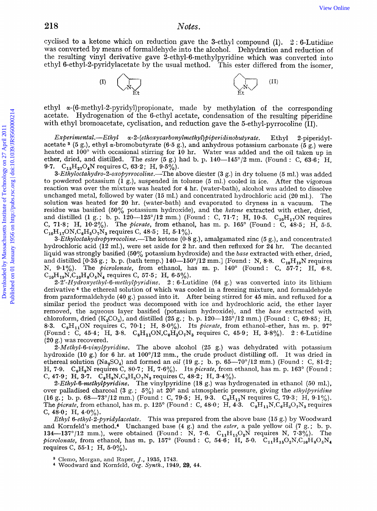cyclised to a ketone which on reduction gave the 3-ethyl compound  $(I)$ .  $2:6$ -Lutidine was converted by means of formaldehyde into the alcohol. Dehydration and reduction of the resulting vinyl derivative gave 2-ethyl-6-methylpyridine which was converted into ethyl 6-ethyl-2-pyridylacetate by the usual method. This ester differed from the isomer,



ethyl **a-(6-methyl-2-pyridyl)propionate,** made by methylation of the corresponding acetate. Hydrogenation of the 6-ethyl acetate, condensation of the resulting piperidine with ethyl bromoacetate, cyclisation, and reduction gave the 5-ethyl-pyrrocoline (11).

*Experinaental.-EthyZ ~-2-(ethoxycarbonyZmethyl)piperidinobutyrate.* Ethyl Z-piperidylacetate <sup>3</sup> (5 g.), ethyl  $\alpha$ -bromobutyrate (6.5 g.), and anhydrous potassium carbonate ( $\delta$  g.) were heated at **100"** with occasional stirring for **10** hr. Water was added and the oil taken up in ether, dried, and distilled. The *ester (5* g.) had b. **p. 140-145"/2** mm. (Found : C, 63.6; H, **9-7.** C1,H,,O,N requires C, **63.2;** H, **9.5%).** 

3-*Ethyloctahydro-2-oxopyrrocoline.*—The above diester (3 g.) in dry toluene (5 ml.) was added to powdered potassium **(1** *g.),* suspended in toluene *(5* ml.) cooled in ice. After the vigorous reaction was over the mixture was heated for **4** hr. (water-bath), alcohol was added to dissolve unchanged metal, followed by water **(15** ml.) and concentrated hydrochloric acid **(20** ml,). The solution was heated for **20** hr. (water-bath) and evaporated to dryness in a vacuum. The residue was basified (50% potassium hydroxide), and the *Ketone* extracted with ether, dried, and distilled (1 g.; b. p. 120-125°/12 mm.) (Found : C, 71.7; H, 10.5.  $C_{10}H_{17}ON$  requires C, **71.8;** H, **10.2y0).** The *picrate,* from ethanol, has m. p. **165"** (Found : C, 48.5; H, *5.5.*   $C_{10}H_{17}ON, C_6H_3O_7N_3$  requires C, 48.5; H, 5.1%).  $\label{eq:2.1} \begin{minipage}[t]{0.9\textwidth} \begin{tabular}{|c|c|} \hline \multicolumn{1}{|c|}{\textbf{1}} & \hline \multicolumn{1}{|c|}{\textbf{1}} & \hline \multicolumn{1}{|c|}{\textbf{1}} & \hline \multicolumn{1}{|c|}{\textbf{1}} & \hline \multicolumn{1}{|c|}{\textbf{1}} & \hline \multicolumn{1}{|c|}{\textbf{1}} & \hline \multicolumn{1}{|c|}{\textbf{1}} & \hline \multicolumn{1}{|c|}{\textbf{1}} & \hline \multicolumn{1}{|c|}{\$ 

*3-EthyZoctahy&~opy~rocoZine.-The* ketone **(0.8** g.), amalgamated zinc **(5** g.), and concentrated hydrochloric acid **(12** ml.), were set aside for **2** hr. and then refluxed for **24** hr. The decanted liquid was strongly basified **(50%** potassium hydroxide) and the *base* extracted with ether, dried, and distilled [0.35 g.; b. p. (bath temp.)  $140-150^{\circ}/12$  mm.] (Found : N, 8.8. C<sub>10</sub>H<sub>19</sub>N requires N, **9.1%).** The *picrolonate,* from ethanol, has m. p. **140"** (Found : C, **57.7;** H, **6.8.**   $C_{10}H_{19}N_{1}C_{10}H_{8}O_{5}N_{4}$  requires C, 57.5; H, 6.5%).

2-2'-Hydroxyethyl-6-methylpyridine. 2:6-Lutidine (64 g.) was converted into its lithium derivative **4** the ethereal solution of which was cooled in a freezing mixture, and formaldehyde from paraformaldehyde (40 g.) passed into it. After being stirred for **45** min. and refluxed for a similar period the product was decomposed with ice and hydrochloric acid, the ether layer removed, the aqueous layer basified (potassium hydroxide), and the *base* extracted with chloroform, dried  $(K_2CO_3)$ , and distilled  $(25 g.$ ; b. p.  $120-125^{\circ}/12$  mm.) (Found : C, 69.85; H, **8.3.** C,H,,ON requires C, **70.1;** H, *8.0yo).* Its *fiicrate,* from ethanol-ether, has rn. p. **97"**  (Found : C, **45-4;** H, 3.8. C8H110N,C6H,07N3 requires C, **45.9;** H, **3.8y0). 2** : 6-Lutidine (20 g.) was recovered.

2-Methyl-6-vinylpyridine. The above alcohol (25 g.) was dehydrated with potassium hydroxide (10 g.) for 6 hr. at  $100^{\circ}/12$  mm., the crude product distilling off. It was dried in ethereal solution (Na<sub>2</sub>SO<sub>4</sub>) and formed an *oil* (19 g.; b. p.  $65-70^{\circ}/12$  mm.) (Found : C,  $81.2$ ; **€-I, 7.9.** C8H,N requires C, **80.7;** H, **7.6%).** Its *picrate,* from ethanol, has m. p. **163"** (Found : C, 47.9; **H**, 3.7.  $C_8H_9N$ ,  $C_6H_3O_7N_3$  requires C, 48.2; **H**, 3.4%).

*2-EthyL&~nefkyZ~yridine.* The vinylpyridine (18 g.) **was** hydrogenated in ethanol **(50** ml.), over palladised charcoal **(3** *g.* ; *5%)* at **20"** and atmospheric pressure, giving the *ethylfiyridine*   $(16 \text{ g.}; \text{ b. p. }68-73^{\circ}/12 \text{ mm.})$  (Found : C, 79.5; H, 9.3.  $C_8H_{11}N$  requires C, 79.3; H, 9.1%). The *picrate*, from ethanol, has m. p. 125° (Found : C, 48.0; H,  $\widehat{4\cdot3}$ .  $C_8H_{11}N.C_6H_3O_7N_3$  requires C,  $48.0$ ; H,  $4.0\%$ ).

*Ethyl 6-ethyl-2-pyridylacetate.* This was prepared from the above base (15 g.) by Woodward and Kornfeld's method.4 Unchanged base **(4** g.) and the *ester,* a pale yellow oil **(7** *g.;* b. p. **134—137°/12** mm.), were obtained (Found : N, 7.6.  $C_{11}H_{15}O_2N$  requires N, 7.3%). The *picrolonate*, from ethanol, has m. p. 157° (Found : C, 54.6; H, 5.0.  $C_{11}H_{15}O_2N$ , $C_{10}H_8O_5N_4$ requires C, **55-1** ; H, **5.0%).** 

Clemo, Morgan, and Raper, *J.*, 1935, 1743.

Woodward and Kornfeld, *Org. Synth.,* **1949, 29, 44.**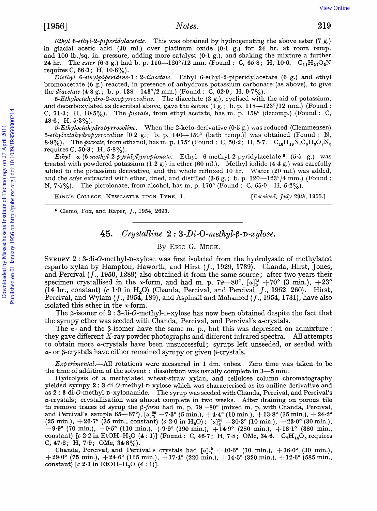*Ethyl 6-ethyl-2-piperidylacetate.* This was obtained by hydrogenating the above ester (7 g.) in glacial acetic acid **(30** ml.) over platinum oxide **(0.1** 9.) for **24** hr. at room temp. and **100** lb./sq. in. pressure, adding more catalyst **(0-1** *g.),* and shaking the mixture a further **24 hr.** The *ester* (6-5 g.) had b. p. 116-120°/12 mm. (Found : C, 65-8; H, 10-6.  $C_{11}H_{21}O_1$ requires C, **66-3** ; H, **10.6%).** 

Diethyl 6-ethylpiperidine-1: 2-diacetate. Ethyl 6-ethyl-2-piperidylacetate (6 g.) and ethyl bromoacetate **(6** g.) reacted, in presence of anhydrous potassium carbonate (as above), to give the *diacetate* (4.8 g.; b. p. 138—143°/2 mm.) (Found : C, 62.9; H, 9.7%).

 $5-Ethyloctahydro-2-oxopy *inom. The* diacetate (3 g.), cyclised with the aid of potassium,$ and decarboxylated as described above, gave the *ketone* **(1** g. ; b. **p. 118-123"/12** mm.) (Found : C, **71-3;** H, **10.5y0).** The **picrate,** from ethyl acetate, has m. **p. 158"** (decomp.) (Found : C, **48.6** ; H, **5.3%).** 

*5-Ethyloctahydropyrrocoline.* When the 2-keto-derivative *(0.5* g.) was reduced (Clemmensen) *5-ethyZoctahydro~yrroGoline* **L0.2 g.** ; b. **p. 140-150"** (bath temp.)] was obtained (Found : N, **8.9%).** The picrate, from ethanol, has m. p. 175° (Found : C,  $50.\overline{2}$ ; H,  $5.\overline{7}$ .  $C_{10}H_{19}N,C_6H_3O_7N$ requires C, 50.3; H, 5.8%).

*EthyE ~-(6-methyZ-2-pyridyyl)propionate.* Ethyl 6-methyl-2-pyridylacetate *(5.5 g,)* was treated with powdered potassium **(1.2** g.) in ether **(60** ml.). Methyl iodide **(4.4** *g.)* was carefully added to the potassium derivative, and the whole refluxed **10** hr. Water **(20** ml.) was added, and the *ester* extracted with ether, dried, and distilled **(3.6** g. ; b. **p. 120-123"/4** mm.) (Found : N, **7.5%).** The picrolonate, from alcohol, has m. **p. 170"** (Found : C, *55.0;* H, **5.2%).** 

**KING'S COLLEGE, NEWCASTLE UPON TYNE, 1.** 

*[Received, July* **29th, 1955.1** 

Clemo, Fox, **and Raper, J., 1954, 2693.** 

#### **45.** *Crystalline*  $2: 3 \cdot Di \cdot O$ -*methyl*- $\beta$ - $D$ -*xylose.*

#### By ERIC G. MEEK.

**SYRUPY 2 : 3-di-O-methyl-D-xylose was first isolated from the hydrolysate of methylated** esparto xylan by Hampton, Haworth, and Hirst *(J.,* **1929, 1739).** Chanda, Hirst, Jones, and Percival *(J.,* **1950, 1289)** also obtained it from the same source; after two years their specimen crystallised in the  $\alpha$ -form, and had m. p. 79-80°,  $[\alpha]_D^{15} + 70$ ° (3 min.),  $+23^\circ$ **(14** hr., constant) **(c 1.0** in H,O) (Chanda, Percival, and Percival, *J.,* **1952, 260).** Hirst, Percival, and Wylam *(J.,* **1954, 189),** and Aspinall and Mohamed *(J.,* **11954, 1731),** have also isolated this ether in the a-form. (1966)<br>
Downloaded by a more point<br>
in glassic field on the core of Technology on 21 April 2010 and April 2010 and the point<br>
and 100 B.psq.in, presence of doisy one catalyst (0-1 g), and shaking the mixture a further<br>
24

> The  $\beta$ -isomer of 2 : 3-di-O-methyl-D-xylose has now been obtained despite the fact that the syrupy ether was seeded with Chanda, Percival, and Percival's  $\alpha$ -crystals.

> The  $\alpha$ - and the  $\beta$ -isomer have the same m. p., but this was depressed on admixture : they gave different X-ray powder photographs and different infrared spectra. All attempts to obtain more a-crystals have been unsuccessful; syrups left unseeded, or seeded with *a-* or p-crystals have either remained syrupy or given 9-crystals.

> $Experimental$ --All rotations were measured in 1 dm. tubes. Zero time was taken to be the time of addition of the solvent : dissolution was usually complete in **3-5** min.

> Hydrolysis of a methylated wheat-straw xylan, and cellulose column chromatography yielded syrupy 2 : 3-di-O-methyl-D-xylose which was characterised as its aniline derivative and as 2 : 3-di-O-methyl-D-xylonamide. The syrup was seeded with Chanda, Percival, and Percival's a-crystals : crystallisation was almost complete in two weeks. After draining on porous tile to remove traces of syrup the *P-form* had m. p. **79-80'** (mixed m. **p.** with Chanda, Percival, and Percival's sample **65-67'),** *[a]:* **-7.3" (5** min.), **3-4.4" (10** rnin.), **+13.8" (15** min.), **+24.2"**  (25 min.),  $+26.7^{\circ}$  (35 min., constant) *(c*  $2.0$  in H<sub>2</sub>O);  $[\alpha]_{D}^{20} - 30.3^{\circ}$  (10 min.),  $-23.0^{\circ}$  (30 min.),  $(25 \text{ min.})$ ,  $-23.0^{\circ}$  (30 min.), **-9.9" (70** rnin.), *-0.5'* **(110** min.), **+9.0" (190** min.), **+l4-9" (280** min.), **+18.1"** (380 min., constant) [c **2.2** in EtOH-H,O **(4** : **l)]** (Found : C, **46.7;** H, **7-8;** OMe, **34-6.** C,H,,O, requires C, 47.2; H, 7.9; OMe, 34.8%).

> Chanda, Percival, and Percival's crystals had  $\lbrack \alpha \rbrack^{19}_{D} + 40.6^{\circ}$  (10 min.),  $+36.0^{\circ}$  (30 min.), **+29.0' (75** rnin.), **3-24.6" (115** min.), **f17.4" (220** min.), **+14.5" (320** min.), **412.6" (585** min., constant)  $[c 2.1$  in EtOH-H<sub>2</sub>O  $(4:1)$ ].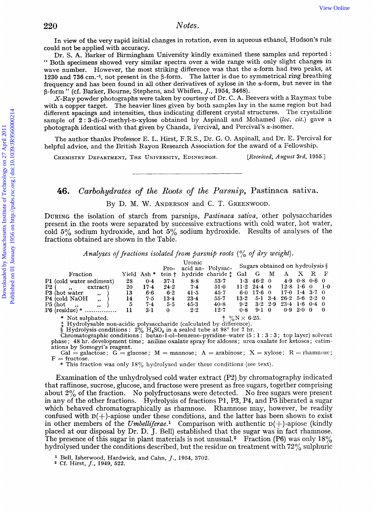| 220                                               | Notes.                                                                                                                                                                                                                                                                                                                                                                                                                                                                                                                                                                                                                                                                                                                                                                                                                                                                                                                                                                                                                                                                                                                                                                               |
|---------------------------------------------------|--------------------------------------------------------------------------------------------------------------------------------------------------------------------------------------------------------------------------------------------------------------------------------------------------------------------------------------------------------------------------------------------------------------------------------------------------------------------------------------------------------------------------------------------------------------------------------------------------------------------------------------------------------------------------------------------------------------------------------------------------------------------------------------------------------------------------------------------------------------------------------------------------------------------------------------------------------------------------------------------------------------------------------------------------------------------------------------------------------------------------------------------------------------------------------------|
| could not be applied with accuracy.               | In view of the very rapid initial changes in rotation, even in aqueous ethanol, Hudson's rule<br>Dr. S. A. Barker of Birmingham University kindly examined these samples and reported :<br>" Both specimens showed very similar spectra over a wide range with only slight changes in<br>wave number. However, the most striking difference was that the $\alpha$ -form had two peaks, at<br>1230 and 736 cm. <sup>-1</sup> , not present in the β-form. The latter is due to symmetrical ring breathing<br>frequency and has been found in all other derivatives of xylose in the $\alpha$ -form, but never in the<br>β-form " (cf. Barker, Bourne, Stephens, and Whiffen, J., 1954, 3468).<br>X-Ray powder photographs were taken by courtesy of Dr. C. A. Beevers with a Raymax tube<br>with a copper target. The heavier lines given by both samples lay in the same region but had<br>different spacings and intensities, thus indicating different crystal structures. The crystalline<br>sample of 2:3-di-O-methyl-D-xylose obtained by Aspinall and Mohamed (loc. cit.) gave a<br>photograph identical with that given by Chanda, Percival, and Percival's $\alpha$ -isomer. |
|                                                   | The author thanks Professor E. L. Hirst, F.R.S., Dr. G. O. Aspinall, and Dr. E. Percival for<br>helpful advice, and the British Rayon Research Association for the award of a Fellowship.                                                                                                                                                                                                                                                                                                                                                                                                                                                                                                                                                                                                                                                                                                                                                                                                                                                                                                                                                                                            |
|                                                   | [Received, August 3rd, 1955.]<br>CHEMISTRY DEPARTMENT, THE UNIVERSITY, EDINBURGH.                                                                                                                                                                                                                                                                                                                                                                                                                                                                                                                                                                                                                                                                                                                                                                                                                                                                                                                                                                                                                                                                                                    |
|                                                   |                                                                                                                                                                                                                                                                                                                                                                                                                                                                                                                                                                                                                                                                                                                                                                                                                                                                                                                                                                                                                                                                                                                                                                                      |
| 46.<br>fractions obtained are shown in the Table. | Carbohydrates of the Roots of the Parsnip, Pastinaca sativa.<br>By D. M. W. ANDERSON and C. T. GREENWOOD.<br>DURING the isolation of starch from parsnips, Pastinaca sativa, other polysaccharides<br>present in the roots were separated by successive extractions with cold water, hot water,<br>cold $5\%$ sodium hydroxide, and hot $5\%$ sodium hydroxide. Results of analyses of the                                                                                                                                                                                                                                                                                                                                                                                                                                                                                                                                                                                                                                                                                                                                                                                           |
|                                                   | Analyses of fractions isolated from parsnip roots $\binom{0}{0}$ of dry weight).                                                                                                                                                                                                                                                                                                                                                                                                                                                                                                                                                                                                                                                                                                                                                                                                                                                                                                                                                                                                                                                                                                     |
| Fraction                                          | Uronic<br>Sugars obtained on hydrolysis §<br>acid an- Polysac-<br>$Pro-$<br>X<br>G<br>М<br>R<br>F<br>Gal<br>А<br>Yield Ash <sup>*</sup><br>hydride charide !<br>tein †                                                                                                                                                                                                                                                                                                                                                                                                                                                                                                                                                                                                                                                                                                                                                                                                                                                                                                                                                                                                               |

\* Not sulphated.<br>  $\uparrow \frac{9}{0}N \times 6.25$ .<br>  $\downarrow$  Hydrolysable non-acidic polysaccharide (calculated by difference).<br>
§ Hydrolysis conditions : 2% H<sub>2</sub>SO<sub>4</sub> in a sealed tube at 98° for 7 hr.<br>
Chromatographic conditions : but phase; 48 hr. development time; aniline oxalate spray for aldoses; urea oxalate for ketoses; estimations by Somogyi's reagent.

Gal = galactose;  $G =$  glucose;  $M =$  mannose;  $A =$  arabinose;  $X =$  xylose;  $R =$  rhamnose;  $F =$  fructose.

This fraction was only **180/,** hydrolysed under these ccnditions *(see* text).

Examination of the unhydrolysed cold water extract (P2) by chromatography indicated that raffinose, sucrose, glucose, and fructose were present as free sugars, together comprising about 2% of the fraction. No polyfructosans were detected. No free sugars were present in any of the other fractions. Hydrolysis of fractions P1, **P3, P4,** and P5 liberated a sugar which behaved chromatographically as rhamnose. Rhamnose may, however, be readily confused with  $D(+)$ -apiose under these conditions, and the latter has been shown to exist in other members of the *Umbelliferae*.<sup>1</sup> Comparison with authentic  $D(+)$ -apiose (kindly placed at our disposal by Dr. D. J. Bell) established that the sugar was in fact rhamnose. The presence of this sugar in plant materials is not unusual.<sup>2</sup> Fraction (P6) was only  $18\%$ hydrolysed under the conditions described, but the residue on treatment with **72%** sulphuric

**Bell,** Isherwood, Hardwick, and Cahn, *J.,* **1954, 3702.** 

**Cf.** Hirst, *J.,* **1949, 522.**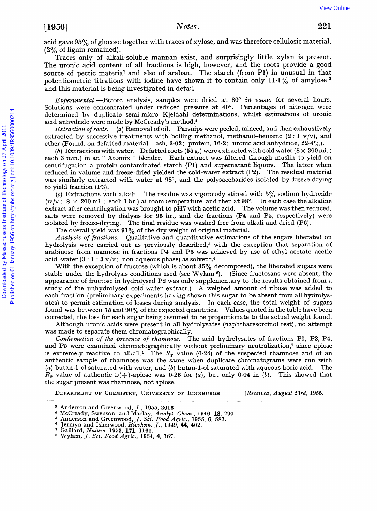Traces only of alkali-soluble mannan exist, and surprisingly little xylan is present. The uronic acid content of all fractions is high, however, and the roots provide a good source of pectic material and also of araban. The starch (from **P1)** in unusual in that potentiometric titrations with iodine have shown it to contain only  $11.1\%$  of amylose,<sup>3</sup> and this material is being investigated in detail

Experimental.-Before analysis, samples were dried at **80"** in *vacuo* for several hours. Solutions were concentrated under reduced pressure at 40". Percentages of nitrogen were determined by duplicate semi-micro Kjeldahl determinations, whilst estimations of uronic acid anhydride were made by McCready's method.<sup>4</sup>

Extraction of roots. (a) Removal of oil. Parsnips were peeled, minced, and then exhaustively extracted by successive treatments with boiling methanol, methanol-benzene  $(2:1 \text{ v/v})$ , and ether (Found, on defatted material : ash,  $3.02$ ; protein,  $16.2$ ; uronic acid anhydride,  $22.4\%$ ).

*(b)* Extractions with water. Defatted roots  $(55 g)$  were extracted with cold water  $(8 \times 300$  ml.; each 3 min.) in an " Atomix " blender. Each extract was filtered through muslin to yield on centrifugation a protein-contaminated starch (Pl) and supernatant liquors. The latter when reduced in valume and freeze-dried yielded the cold-water extract (P2). The residual material was similarly extracted with water at 98°, and the polysaccharides isolated by freeze-drying to yield fraction (P3). T1966]<br>
22% of Eigen terminalismials and the marrian exist, and surprisingly little xylan is present.<br>
The uxonic add conduct of all functions is high, however, and the rootide a good<br>
2011 Burel and the conduction of Tec

(c) Extractions with alkali. The residue was vigorously stirred with  $5\%$  sodium hydroxide  $(w/v : 8 \times 200 \text{ ml.}; \text{ each } l \text{ hr.})$  at room temperature, and then at 98°. In each case the alkaline extract after centrifugation was brought to pH7 with acetic acid. The volume was then reduced, salts were removed by dialysis for **96** hr., and the fractions (P4 and P5, respectively) were isolated by freeze-drying. The final residue was washed free from alkali and dried (P6).

The overall yield was 91% of the dry weight of original material.

Analysis of fractions. Qualitative and quantitative estimations of the sugars liberated on hydrolysis were carried out as previously described,<sup>5</sup> with the exception that separation of arabinose from mannose in fractions P4 and P5 was achieved by use of ethyl acetate-acetic acid-water **(3** : 1 : **3** v/v; non-aqueous phase) **as** solvent.6

With the exception of fructose (which is about 35% decomposed), the liberated sugars were stable under the hydrolysis conditions used (see Wylam **8).** (Since fructosans were absent, the appearance of fructose in hydrolysed P2 was only supplementary to the results obtained from a study of the unhydrolysed cold-water extract.) A weighed amount of ribose was added to each fraction (preliminary experiments having shown this sugar to be absent from all hydrolysates) to permit estimation of losses during analysis. In each case, the total weight of sugars found was between 75 and **90%** of the expected quantities. Values quoted in the table have been corrected, the loss for each sugar being assumed to be proportionate to the actual weight found.

Although uronic acids were present in all hydrolysates (naphtharesorcinol test), no attempt was made to separate them chromatographically.

Confirmation of the presence of *rhamnose*. The acid hydrolysates of fractions P1, P3, P4, and **P5** were examined chromatographically without preliminary neutralization,? since apiose is extremely reactive to alkali.<sup>1</sup> The  $R<sub>r</sub>$  value (0.24) of the suspected rhamnose and of an authentic sample of rhamnose was the same when duplicate chromatograms were run with (a) butan-1-01 saturated with water, and *(b)* butan-1-01 saturated with aqueous boric acid. The  $R_p$  value of authentic  $D(+)$ -apiose was 0.26 for *(a)*, but only 0.04 in *(b)*. This showed that the sugar present was rhamnose, not apiose.

**DEPARTMENT OF CHEMISTRY, UNIVERSITY OF EDINBURGH.** [Received, August 23rd, 1955.]

**<sup>a</sup>Anderson and Greenwood, J., 1955, 3016.** 

**McCready, Swenson, and Maclay,** *Analyt. Chem.,* **1946, 18, 290. Anderson and Greenwood, J.** *Sci.* **Food** *Agric.,* **1955,** *6, 587.* 

Jermyn and Isherwood, *Biochem. J.*, 1949, 44, 402. Gaillard, *Nature*, 1953, 171, 1160.

**Wylam, J.** *Sci.* **Food** *Agric.,* **1954, 4, 167.**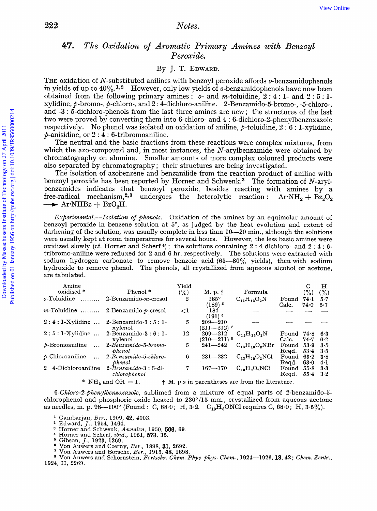### 47. The Oxidation of Aromatic Primary Amines with Benzoyl *Peroxide.*

#### By J. T. **EDWARD.**

THE oxidation of N-substituted anilines with benzoyl peroxide affords o-benzamidophenols in yields of up to  $40\%$ .<sup>1,2</sup> However, only low yields of *o*-benzamidophenols have now been obtained from the following primary amines : o- and m-toluidine, **2** : **4** : **1-** and **2** : 5 : 1 xylidine, p-bromo-, 9-chloro-, and **2** : 4-dichloro-aniline. 2-Benzamido-5-bromo-, -S-chloro-, and **-3** : 5-dichloro-phenols from the last three amines are new ; the structures of the last two were proved by converting them into 6-chloro- and **4** : 6-dichloro-2-phenylbenzoxazole respectively. No phenol was isolated on oxidation of aniline, 9-toluidine, **2** : *6* : 1-xylidine, p-anisidine, or **2** : **4** : 6-tribromoaniline.

The neutral and the basic fractions from these reactions were complex mixtures, from which the azo-compound and, in most instances, the  $N$ -arylbenzamide were obtained by chromatography on alumina. Smaller amounts **of** more complex coloured products were also separated by chromatography ; their structures are being investigated.

The isolation of azobenzene and benzanilide from the reaction product of aniline with benzoyl peroxide has been reported by Horner and Schwenk.<sup>3</sup> The formation of N-arylbenzamides indicates that benzoyl peroxide, besides reacting with amines by a free-radical mechanism,<sup>2,3</sup> undergoes the heterolytic reaction :  $ArNH_2 + Bz_2O_2$  $\rightarrow$  Ar $\cdot$ NHBz + BzO<sub>2</sub>H.

*Experimental.*—*Isolation of phenols.* Oxidation of the amines by an equimolar amount of benzoyl peroxide in benzene solution at  $5^\circ$ , as judged by the heat evolution and extent of darkening of the solution, was usually complete in less than  $10-20$  min., although the solutions were usually kept at room temperatures for several hours. However, the less basic amines were oxidized slowly (cf. Homer and Scherf **4)** ; the solutions containing **2** : 4-dichloro- and **2** : **4** : **6**  tribromo-aniline were refluxed for **2** and **6** hr. respectively. The solutions were extracted with sodium hydrogen carbonate to remove benzoic acid **(65--80%** yields), then with sodium hydroxide to remove phenol. The phenols, a11 crystallized from aqueous alcohol or acetone, are tabulated. Download by The Doublindu Computer of Technology of Technology of Technology on 27 April 2011 Published on  $N$ -substituted unities with benzoning the model on the properties of April 2011 Published on the following princi

| Phenol <sup>*</sup><br>2-Benzamido <i>-m</i> -cresol | Yield<br>(% )<br>2              | M. p. †                             | Formula                                                                        |                    | С<br>(% )                                                          | н              |
|------------------------------------------------------|---------------------------------|-------------------------------------|--------------------------------------------------------------------------------|--------------------|--------------------------------------------------------------------|----------------|
|                                                      |                                 |                                     |                                                                                |                    |                                                                    |                |
|                                                      |                                 |                                     |                                                                                |                    |                                                                    | (% )           |
|                                                      |                                 | $185^\circ$<br>$(189)$ <sup>5</sup> | $C_{14}H_{13}O_2N$                                                             | Found<br>Calc.     | $74-1$<br>74.0                                                     | $5 - 7$<br>5.7 |
| $m$ -Toluidine  2-Benzamido- $p$ -cresol             | $\leq$ 1                        | 184                                 |                                                                                |                    |                                                                    |                |
| $2:4:1-X$ ylidine  2-Benzamido- $3:5:1-$<br>xylenol  | 5                               | $209 - 210$                         |                                                                                |                    |                                                                    |                |
| $2:5:1-Xy$ lidine  2-Benzamido- $3:6:1-$<br>xylenol  | 12                              | $209 - 212$                         |                                                                                | Found<br>Calc.     | 74.8<br>74.7                                                       | 6.3<br>6.2     |
| 2-Benzamido-5-bromo-<br>$b$ <i>henol</i>             | 5                               | $241 - 242$                         | $C_{13}H_{10}O_2NBr$                                                           | Found              | 53.9                                                               | 3.5<br>$3-5$   |
| 2-Benzamido-5-chloro-                                | 6                               | $231 - 232$                         | $C_{12}H_{10}O_2NCl$                                                           | Found              | $63-2$                                                             | 3.8<br>4·1     |
| $2$ -Benzamido-3: 5-di-<br>chlorophenol              | 7                               | $167 - 170$                         | $C_{13}H_9O_2NC1$                                                              | Found<br>Regd.     | 55.8<br>$55 - 4$                                                   | 3.3<br>$3-2$   |
|                                                      | phenol<br>$*$ NH, and OH $=$ 1. |                                     | $(191)$ <sup>6</sup><br>$(211 - 212)$ <sup>7</sup><br>$(210-211)$ <sup>8</sup> | $C_{15}H_{15}O_2N$ | Reed.<br>Regd.<br>+ M. p.s in parentheses are from the literature. | $53-4$<br>63.0 |

*6-ChZoro-2-phenyZbe.nzoxazoZe,* sublimed from *a* mixture of equal parts of 2-benzamido-5 chlorophenol and phosphoric oxide heated to 230"/15 mm., crystallized from aqueous acetone as needles, m. p. **98-100"** (Found : C, **68.0** ; H, **3-2.** C,,H,ONCl requires C, **68.0** ; H, 3.5%).

- <sup>1</sup> Gambarjan, Ber., 1909, **42**, 4003.
- 
- Edward, *J.,* 1954, 1464. Horner and Schwenk, Annalen, 1950, **566,** 69. Horner and Scherf, *ibid.,* 1951, **573,** 35.
- 
- 
- Gibson, *J.*, 1923, 1269.<br>Von Auwers and Czerny, *Ber.*, 1898, **31**, 2692.
- <sup>7</sup> Von Auwers and Borsche, *Ber.*, 1915, **48**, 1698.

Von Auwers and Schornstein, Fovtschr. Chem *Phys.* Phys. Chem., 1924-1926, **IS, 42;** Chem. Zentv., 1924, 11, 2260.